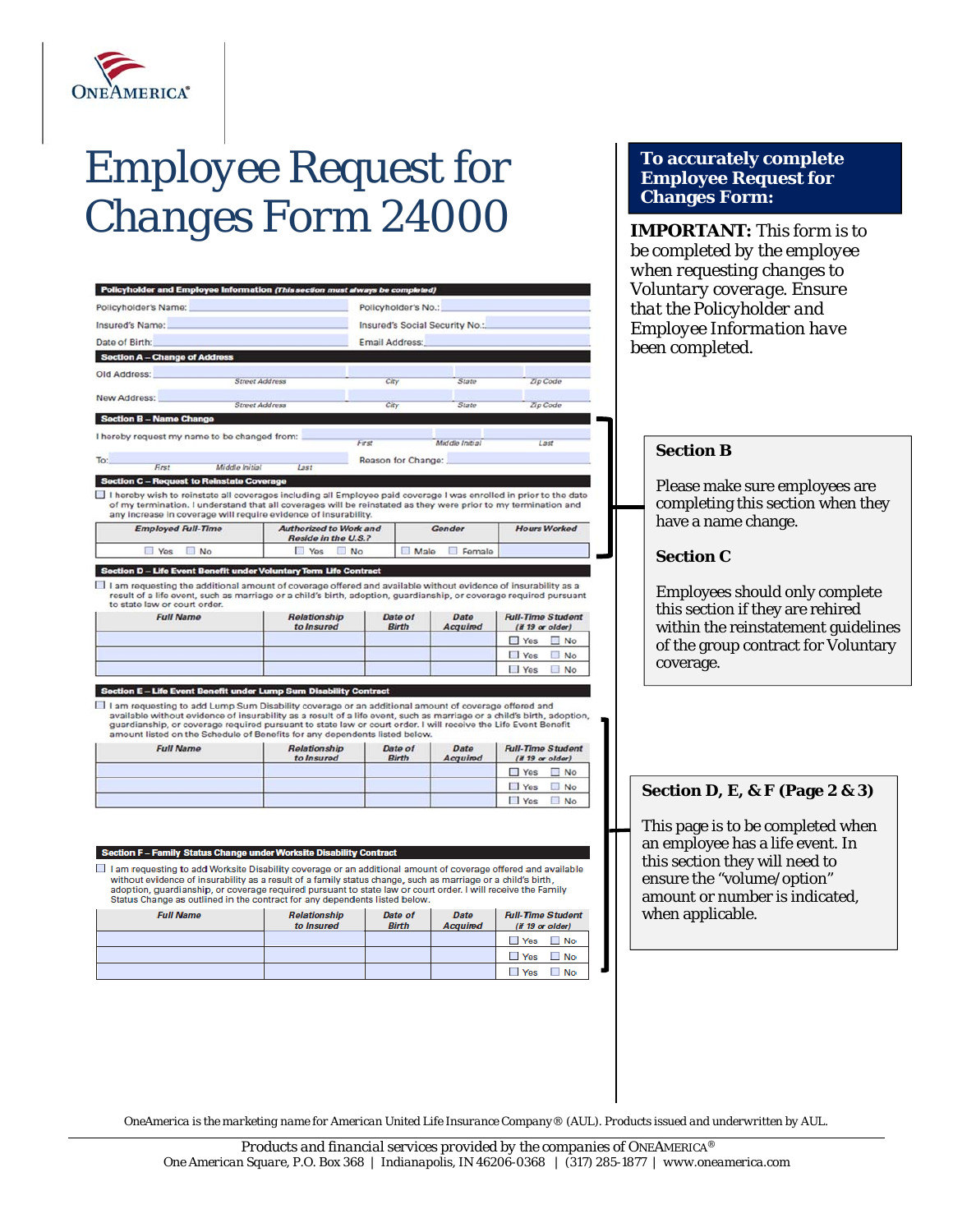

## *Employee Request for Changes Form 24000*

Section F - Family Status Change under Worksite Disability Contract

**Full Name** 

I am requesting to add Worksite Disability coverage or an additional amount of coverage offered and available without evidence of insurability as a result of a family status change, such as marriage or a child's birth, adoption, guardianship, or coverage required pursuant to state law or court order. I will receive the Family<br>Status Change as outlined in the contract for any dependents listed below.

Data of

**Birth** 

**Relationship** 

to Insured

## *when requesting changes to*  Policyholder and Employee Information (This section must always be complete *Voluntary coverage. Ensure*  Policyholder's Name: Policyholder's No.: *that the Policyholder and*  Insured's Name: Insured's Social Security No. *Employee Information have*  Date of Birth: Email Address: *been completed.* Section A - Change of Addr Old Address: **Street Address**  $Cov$ State **Zip Code** New Address: **Street Address Zip Code** City State Section R - Na I hereby request my name to be changed from: First Middle Initial Last **Section B**  Reason for Change: Middle Initial **Rest** Last st to Reinstate Coverage ection C - Requ Please make sure employees are I hereby wish to reinstate all coverages including all Employee paid coverage I was enrolled in prior to the date of my termination. I understand that all coverages will be reinstated as they were prior to my termination and<br>any increase in coverage will require evidence of insurability. completing this section when they have a name change. **Employed Full-Time** Authorized to Work and Gender **Hours Worked** Reside in the U.S.? Yes  $\Box$  Yes No.  $\Box$  No Male Female **Section C**  n D - Life Event Be tary T m Life Co I am requesting the additional amount of coverage offered and available without evidence of insurability as a Employees should only complete result of a life event, such as marriage or a child's birth, adoption, guardianship, or coverage required pursuant<br>to state law or court order. this section if they are rehired **Full Name** Relationship Date of Date **Full-Time Student** to Insured **Birth** Acquired  $(H 19 or older)$ within the reinstatement guidelines Yes No of the group contract for Voluntary  $\Box$  Yes  $\Box$  No coverage. Yes No n E - Life Event B er Lump Sum Dis □ I am requesting to add Lump Sum Disability coverage or an additional amount of coverage offered and<br>available without evidence of insurability as a result of a life event, such as marriage or a child's birth, adoption,<br> amount listed on the Schedule of Benefits for any dependents listed below. Relationship **Full Name** Date of Date **Full-Time Student** to Insured **Birth** Acquired  $(H 19$  or older)

Yes No  $\Box$  Yes  $\Box$  No  $\Box$  Yes  $\Box$  No

**Full-Time Student** 

(if 19 or older) Yes No  $\Box$  Yes  $\Box$  No  $\Box$  Yes  $\Box$  No

## **Section D, E, & F (Page 2 & 3)**

*IMPORTANT: This form is to be completed by the employee* 

**To accurately complete Employee Request for** 

**Changes Form:** 

This page is to be completed when an employee has a life event. In this section they will need to ensure the "volume/option" amount or number is indicated, when applicable.

| OneAmerica is the marketing name for American United Life Insurance Company® (AUL). Products issued and underwritten by AUL. |  |  |  |
|------------------------------------------------------------------------------------------------------------------------------|--|--|--|

Date

**Acquired**